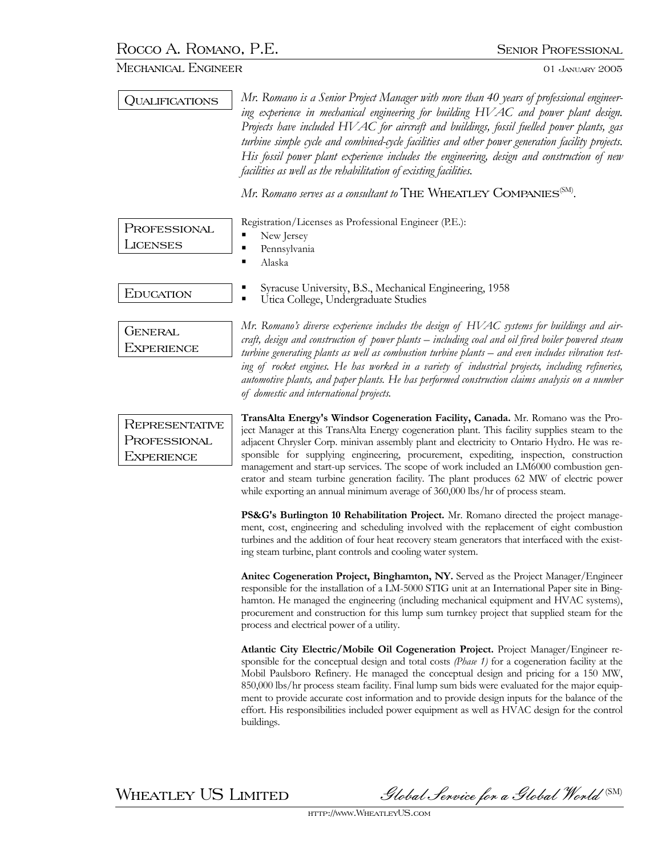## MECHANICAL ENGINEER 01 JANUARY 2005

| <b>OUALIFICATIONS</b>                                      | Mr. Romano is a Senior Project Manager with more than 40 years of professional engineer-<br>ing experience in mechanical engineering for building HVAC and power plant design.<br>Projects have included HVAC for aircraft and buildings, fossil fuelled power plants, gas<br>turbine simple cycle and combined-cycle facilities and other power generation facility projects.<br>His fossil power plant experience includes the engineering, design and construction of new<br>facilities as well as the rehabilitation of existing facilities.<br>Mr. Romano serves as a consultant to THE WHEATLEY COMPANIES <sup>(SM)</sup> .                  |
|------------------------------------------------------------|----------------------------------------------------------------------------------------------------------------------------------------------------------------------------------------------------------------------------------------------------------------------------------------------------------------------------------------------------------------------------------------------------------------------------------------------------------------------------------------------------------------------------------------------------------------------------------------------------------------------------------------------------|
| PROFESSIONAL<br><b>LICENSES</b>                            | Registration/Licenses as Professional Engineer (P.E.):<br>New Jersey<br>п<br>Pennsylvania<br>п<br>Alaska<br>٠                                                                                                                                                                                                                                                                                                                                                                                                                                                                                                                                      |
| EDUCATION                                                  | Syracuse University, B.S., Mechanical Engineering, 1958<br>Utica College, Undergraduate Studies                                                                                                                                                                                                                                                                                                                                                                                                                                                                                                                                                    |
| <b>GENERAL</b><br>EXPERIENCE                               | Mr. Romano's diverse experience includes the design of HVAC systems for buildings and air-<br>craft, design and construction of power plants - including coal and oil fired boiler powered steam<br>turbine generating plants as well as combustion turbine plants – and even includes vibration test-<br>ing of rocket engines. He has worked in a variety of industrial projects, including refineries,<br>automotive plants, and paper plants. He has performed construction claims analysis on a number<br>of domestic and international projects.                                                                                             |
| <b>REPRESENTATIVE</b><br>PROFESSIONAL<br><b>EXPERIENCE</b> | TransAlta Energy's Windsor Cogeneration Facility, Canada. Mr. Romano was the Pro-<br>ject Manager at this TransAlta Energy cogeneration plant. This facility supplies steam to the<br>adjacent Chrysler Corp. minivan assembly plant and electricity to Ontario Hydro. He was re-<br>sponsible for supplying engineering, procurement, expediting, inspection, construction<br>management and start-up services. The scope of work included an LM6000 combustion gen-<br>erator and steam turbine generation facility. The plant produces 62 MW of electric power<br>while exporting an annual minimum average of 360,000 lbs/hr of process steam. |
|                                                            | PS&G's Burlington 10 Rehabilitation Project. Mr. Romano directed the project manage-<br>ment, cost, engineering and scheduling involved with the replacement of eight combustion<br>turbines and the addition of four heat recovery steam generators that interfaced with the exist-<br>ing steam turbine, plant controls and cooling water system.                                                                                                                                                                                                                                                                                                |
|                                                            | Anitec Cogeneration Project, Binghamton, NY. Served as the Project Manager/Engineer<br>responsible for the installation of a LM-5000 STIG unit at an International Paper site in Bing-<br>hamton. He managed the engineering (including mechanical equipment and HVAC systems),<br>procurement and construction for this lump sum turnkey project that supplied steam for the<br>process and electrical power of a utility.                                                                                                                                                                                                                        |
|                                                            | Atlantic City Electric/Mobile Oil Cogeneration Project. Project Manager/Engineer re-<br>sponsible for the conceptual design and total costs (Phase 1) for a cogeneration facility at the<br>Mobil Paulsboro Refinery. He managed the conceptual design and pricing for a 150 MW,<br>850,000 lbs/hr process steam facility. Final lump sum bids were evaluated for the major equip-<br>ment to provide accurate cost information and to provide design inputs for the balance of the<br>effort. His responsibilities included power equipment as well as HVAC design for the control<br>buildings.                                                  |

WHEATLEY US LIMITED Slobal Service for a Global World (SM)

http://www.WheatleyUS.com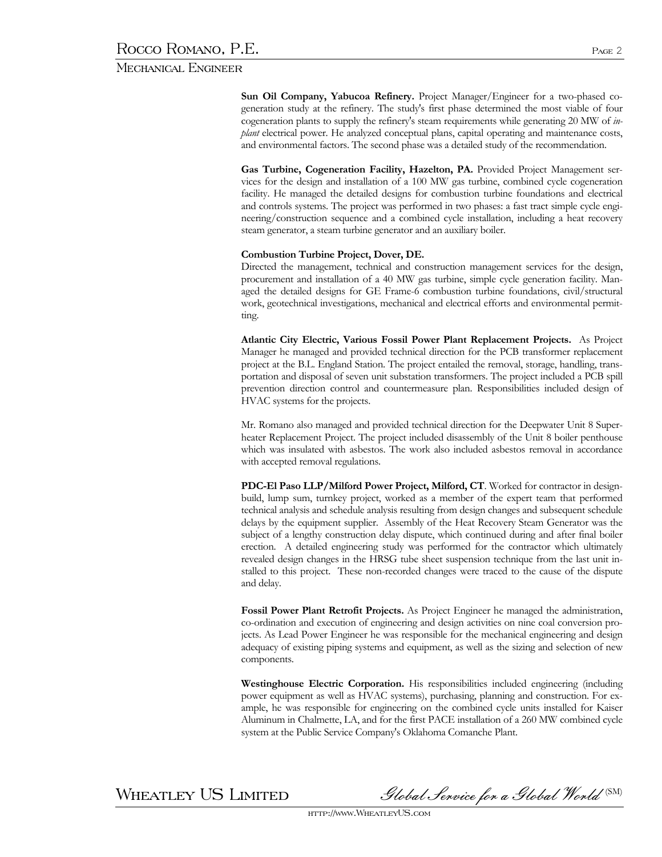## Mechanical Engineer

**Sun Oil Company, Yabucoa Refinery.** Project Manager/Engineer for a two-phased cogeneration study at the refinery. The study's first phase determined the most viable of four cogeneration plants to supply the refinery's steam requirements while generating 20 MW of *inplant* electrical power. He analyzed conceptual plans, capital operating and maintenance costs, and environmental factors. The second phase was a detailed study of the recommendation.

**Gas Turbine, Cogeneration Facility, Hazelton, PA.** Provided Project Management services for the design and installation of a 100 MW gas turbine, combined cycle cogeneration facility. He managed the detailed designs for combustion turbine foundations and electrical and controls systems. The project was performed in two phases: a fast tract simple cycle engineering/construction sequence and a combined cycle installation, including a heat recovery steam generator, a steam turbine generator and an auxiliary boiler.

## **Combustion Turbine Project, Dover, DE.**

Directed the management, technical and construction management services for the design, procurement and installation of a 40 MW gas turbine, simple cycle generation facility. Managed the detailed designs for GE Frame-6 combustion turbine foundations, civil/structural work, geotechnical investigations, mechanical and electrical efforts and environmental permitting.

**Atlantic City Electric, Various Fossil Power Plant Replacement Projects.** As Project Manager he managed and provided technical direction for the PCB transformer replacement project at the B.L. England Station. The project entailed the removal, storage, handling, transportation and disposal of seven unit substation transformers. The project included a PCB spill prevention direction control and countermeasure plan. Responsibilities included design of HVAC systems for the projects.

Mr. Romano also managed and provided technical direction for the Deepwater Unit 8 Superheater Replacement Project. The project included disassembly of the Unit 8 boiler penthouse which was insulated with asbestos. The work also included asbestos removal in accordance with accepted removal regulations.

**PDC-El Paso LLP/Milford Power Project, Milford, CT**. Worked for contractor in designbuild, lump sum, turnkey project, worked as a member of the expert team that performed technical analysis and schedule analysis resulting from design changes and subsequent schedule delays by the equipment supplier. Assembly of the Heat Recovery Steam Generator was the subject of a lengthy construction delay dispute, which continued during and after final boiler erection. A detailed engineering study was performed for the contractor which ultimately revealed design changes in the HRSG tube sheet suspension technique from the last unit installed to this project. These non-recorded changes were traced to the cause of the dispute and delay.

**Fossil Power Plant Retrofit Projects.** As Project Engineer he managed the administration, co-ordination and execution of engineering and design activities on nine coal conversion projects. As Lead Power Engineer he was responsible for the mechanical engineering and design adequacy of existing piping systems and equipment, as well as the sizing and selection of new components.

**Westinghouse Electric Corporation.** His responsibilities included engineering (including power equipment as well as HVAC systems), purchasing, planning and construction. For example, he was responsible for engineering on the combined cycle units installed for Kaiser Aluminum in Chalmette, LA, and for the first PACE installation of a 260 MW combined cycle system at the Public Service Company's Oklahoma Comanche Plant.

 $\,$ WHEATLEY US LIMITED Slobal Service for a Global World  $^{\text{\tiny{(SM)}}}$